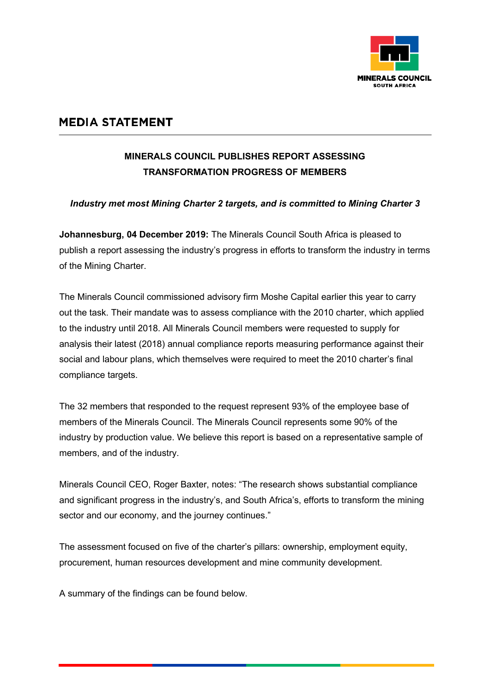

## **MEDIA STATEMENT**

## **MINERALS COUNCIL PUBLISHES REPORT ASSESSING TRANSFORMATION PROGRESS OF MEMBERS**

## *Industry met most Mining Charter 2 targets, and is committed to Mining Charter 3*

**Johannesburg, 04 December 2019:** The Minerals Council South Africa is pleased to publish a report assessing the industry's progress in efforts to transform the industry in terms of the Mining Charter.

The Minerals Council commissioned advisory firm Moshe Capital earlier this year to carry out the task. Their mandate was to assess compliance with the 2010 charter, which applied to the industry until 2018. All Minerals Council members were requested to supply for analysis their latest (2018) annual compliance reports measuring performance against their social and labour plans, which themselves were required to meet the 2010 charter's final compliance targets.

The 32 members that responded to the request represent 93% of the employee base of members of the Minerals Council. The Minerals Council represents some 90% of the industry by production value. We believe this report is based on a representative sample of members, and of the industry.

Minerals Council CEO, Roger Baxter, notes: "The research shows substantial compliance and significant progress in the industry's, and South Africa's, efforts to transform the mining sector and our economy, and the journey continues."

The assessment focused on five of the charter's pillars: ownership, employment equity, procurement, human resources development and mine community development.

A summary of the findings can be found below.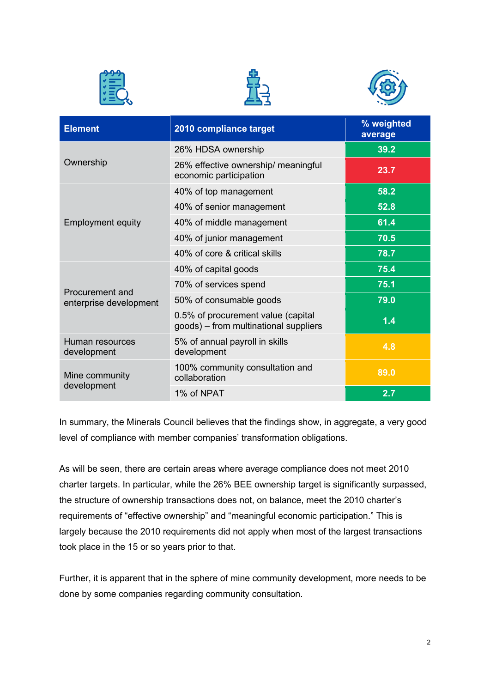





| <b>Element</b>                            | 2010 compliance target                                                      | % weighted<br>average |
|-------------------------------------------|-----------------------------------------------------------------------------|-----------------------|
| Ownership                                 | 26% HDSA ownership                                                          | 39.2                  |
|                                           | 26% effective ownership/ meaningful<br>economic participation               | 23.7                  |
| <b>Employment equity</b>                  | 40% of top management                                                       | 58.2                  |
|                                           | 40% of senior management                                                    | 52.8                  |
|                                           | 40% of middle management                                                    | 61.4                  |
|                                           | 40% of junior management                                                    | 70.5                  |
|                                           | 40% of core & critical skills                                               | 78.7                  |
| Procurement and<br>enterprise development | 40% of capital goods                                                        | 75.4                  |
|                                           | 70% of services spend                                                       | 75.1                  |
|                                           | 50% of consumable goods                                                     | 79.0                  |
|                                           | 0.5% of procurement value (capital<br>goods) - from multinational suppliers | 1.4                   |
| Human resources<br>development            | 5% of annual payroll in skills<br>development                               | 4.8                   |
| Mine community<br>development             | 100% community consultation and<br>collaboration                            | 89.0                  |
|                                           | 1% of NPAT                                                                  | 2.7                   |

In summary, the Minerals Council believes that the findings show, in aggregate, a very good level of compliance with member companies' transformation obligations.

As will be seen, there are certain areas where average compliance does not meet 2010 charter targets. In particular, while the 26% BEE ownership target is significantly surpassed, the structure of ownership transactions does not, on balance, meet the 2010 charter's requirements of "effective ownership" and "meaningful economic participation." This is largely because the 2010 requirements did not apply when most of the largest transactions took place in the 15 or so years prior to that.

Further, it is apparent that in the sphere of mine community development, more needs to be done by some companies regarding community consultation.